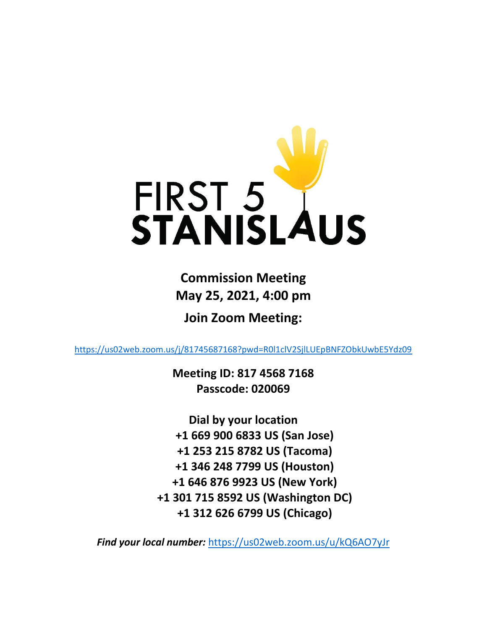

**Commission Meeting May 25, 2021, 4:00 pm**

**Join Zoom Meeting:**

<https://us02web.zoom.us/j/81745687168?pwd=R0l1clV2SjlLUEpBNFZObkUwbE5Ydz09>

**Meeting ID: 817 4568 7168 Passcode: 020069**

**Dial by your location +1 669 900 6833 US (San Jose) +1 253 215 8782 US (Tacoma) +1 346 248 7799 US (Houston) +1 646 876 9923 US (New York) +1 301 715 8592 US (Washington DC) +1 312 626 6799 US (Chicago)**

*Find your local number:* <https://us02web.zoom.us/u/kQ6AO7yJr>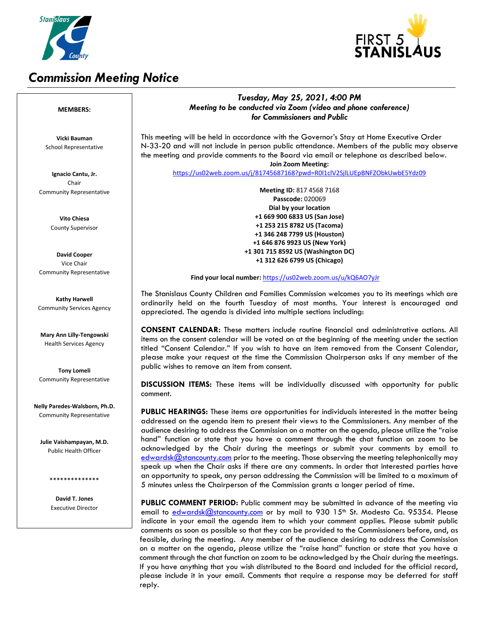

# *Commission Meeting Notice*



## *Tuesday, May 25, 2021, 4:00 PM Meeting to be conducted via Zoom (video and phone conference) for Commissioners and Public*

This meeting will be held in accordance with the Governor's Stay at Home Executive Order N-33-20 and will not include in person public attendance. Members of the public may observe the meeting and provide comments to the Board via email or telephone as described below. **Join Zoom Meeting:**

<https://us02web.zoom.us/j/81745687168?pwd=R0l1clV2SjlLUEpBNFZObkUwbE5Ydz09>

**Meeting ID:** 817 4568 7168 **Passcode:** 020069 **Dial by your location +1 669 900 6833 US (San Jose) +1 253 215 8782 US (Tacoma) +1 346 248 7799 US (Houston) +1 646 876 9923 US (New York) +1 301 715 8592 US (Washington DC) +1 312 626 6799 US (Chicago)**

#### **Find your local number:** <https://us02web.zoom.us/u/kQ6AO7yJr>

The Stanislaus County Children and Families Commission welcomes you to its meetings which are ordinarily held on the fourth Tuesday of most months. Your interest is encouraged and appreciated. The agenda is divided into multiple sections including:

**CONSENT CALENDAR:** These matters include routine financial and administrative actions. All items on the consent calendar will be voted on at the beginning of the meeting under the section titled "Consent Calendar." If you wish to have an item removed from the Consent Calendar, please make your request at the time the Commission Chairperson asks if any member of the public wishes to remove an item from consent.

**DISCUSSION ITEMS:** These items will be individually discussed with opportunity for public comment.

**PUBLIC HEARINGS:** These items are opportunities for individuals interested in the matter being addressed on the agenda item to present their views to the Commissioners. Any member of the audience desiring to address the Commission on a matter on the agenda, please utilize the "raise hand" function or state that you have a comment through the chat function on zoom to be acknowledged by the Chair during the meetings or submit your comments by email to [edwardsk@stancounty.com](mailto:edwardsk@stancounty.com) prior to the meeting. Those observing the meeting telephonically may speak up when the Chair asks if there are any comments. In order that interested parties have an opportunity to speak, any person addressing the Commission will be limited to a maximum of 5 minutes unless the Chairperson of the Commission grants a longer period of time.

**PUBLIC COMMENT PERIOD:** Public comment may be submitted in advance of the meeting via email to [edwardsk@stancounty.com](mailto:edwardsk@stancounty.com) or by mail to 930 15<sup>th</sup> St. Modesto Ca. 95354. Please indicate in your email the agenda item to which your comment applies. Please submit public comments as soon as possible so that they can be provided to the Commissioners before, and, as feasible, during the meeting. Any member of the audience desiring to address the Commission on a matter on the agenda, please utilize the "raise hand" function or state that you have a comment through the chat function on zoom to be acknowledged by the Chair during the meetings. If you have anything that you wish distributed to the Board and included for the official record, please include it in your email. Comments that require a response may be deferred for staff reply.

### **MEMBERS:**

**Vicki Bauman** School Representative

**Ignacio Cantu, Jr.** Chair Community Representative

> **Vito Chiesa** County Supervisor

**David Cooper** Vice Chair Community Representative

**Kathy Harwell** Community Services Agency

**Mary Ann Lilly-Tengowski** Health Services Agency

**Tony Lomeli** Community Representative

**Nelly Paredes-Walsborn, Ph.D.** Community Representative

**Julie Vaishampayan, M.D.** Public Health Officer

\*\*\*\*\*\*\*\*\*\*\*\*\*\*

**David T. Jones** Executive Director